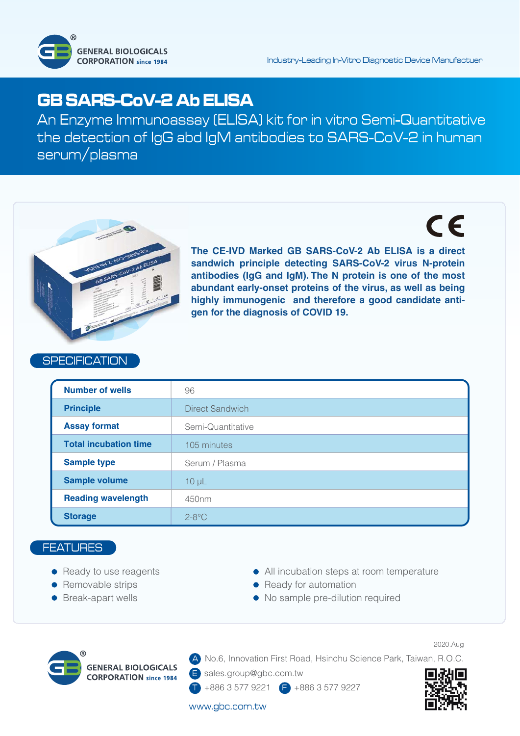

# **GB SARS-CoV-2 Ab ELISA**

An Enzyme Immunoassay (ELISA) kit for in vitro Semi-Quantitative the detection of IgG abd IgM antibodies to SARS-CoV-2 in human serum/plasma

# $\epsilon$



**The CE-IVD Marked GB SARS-CoV-2 Ab ELISA is a direct sandwich principle detecting SARS-CoV-2 virus N-protein antibodies (IgG and IgM). The N protein is one of the most abundant early-onset proteins of the virus, as well as being highly immunogenic and therefore a good candidate antigen for the diagnosis of COVID 19.**

## **SPECIFICATION**

| <b>Number of wells</b>       | 96                |  |  |  |  |
|------------------------------|-------------------|--|--|--|--|
| <b>Principle</b>             | Direct Sandwich   |  |  |  |  |
| <b>Assay format</b>          | Semi-Quantitative |  |  |  |  |
| <b>Total incubation time</b> | 105 minutes       |  |  |  |  |
| <b>Sample type</b>           | Serum / Plasma    |  |  |  |  |
| <b>Sample volume</b>         | $10 \mu L$        |  |  |  |  |
| <b>Reading wavelength</b>    | 450 <sub>nm</sub> |  |  |  |  |
| <b>Storage</b>               | $2-8$ °C          |  |  |  |  |

### **FEATURES**

- Ready to use reagents
- Removable strips
- Break-apart wells
- All incubation steps at room temperature
- Ready for automation
- No sample pre-dilution required



A No.6, Innovation First Road, Hsinchu Science Park, Taiwan, R.O.C.

E sales.group@gbc.com.tw

T +886 3 577 9221 F +886 3 577 9227

#### www.gbc.com.tw

2020.Aug